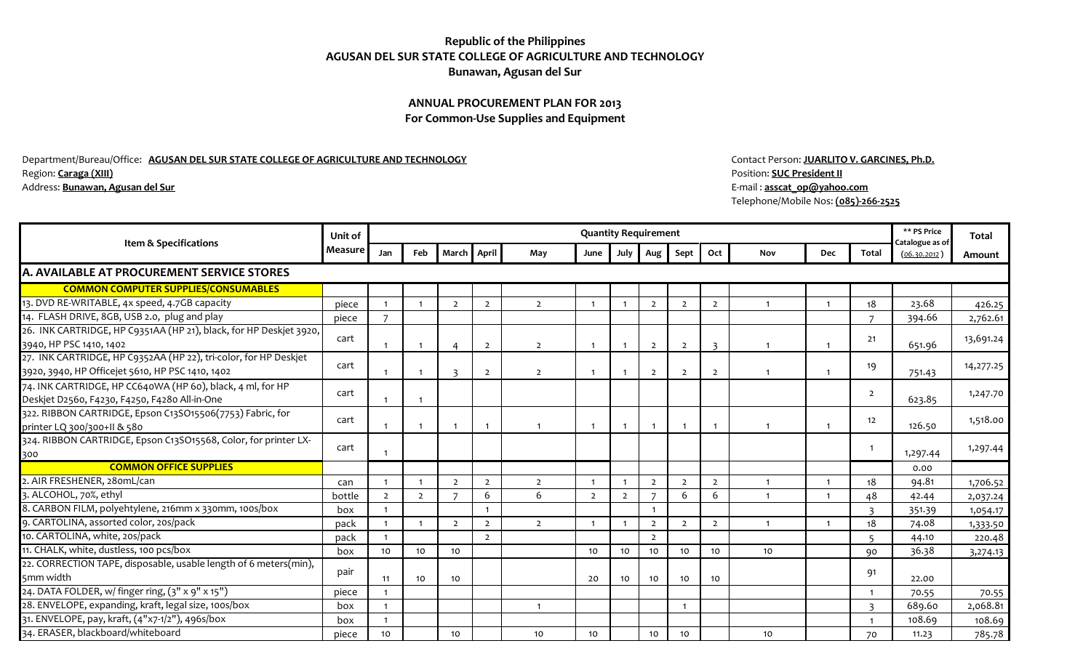# **ANNUAL PROCUREMENT PLAN FOR 2013 For Common-Use Supplies and Equipment**

# Department/Bureau/Office: **AGUSAN DEL SUR STATE COLLEGE OF AGRICULTURE AND TECHNOLOGY** CONTACT PERSON: JUARLITO V. GARCINES, Ph.D.

|                                                                    | Unit of |                         |                |                |                |                |                | <b>Quantity Requirement</b> |                         |                |                         |              |            |                | ** PS Price                     | <b>Total</b> |
|--------------------------------------------------------------------|---------|-------------------------|----------------|----------------|----------------|----------------|----------------|-----------------------------|-------------------------|----------------|-------------------------|--------------|------------|----------------|---------------------------------|--------------|
| <b>Item &amp; Specifications</b>                                   | Measure | Jan                     | Feb            | March April    |                | May            | June           | July                        | Aug                     | Sept           | Oct                     | <b>Nov</b>   | <b>Dec</b> | Total          | Catalogue as of<br>(06.30.2012) | Amount       |
| A. AVAILABLE AT PROCUREMENT SERVICE STORES                         |         |                         |                |                |                |                |                |                             |                         |                |                         |              |            |                |                                 |              |
| <b>COMMON COMPUTER SUPPLIES/CONSUMABLES</b>                        |         |                         |                |                |                |                |                |                             |                         |                |                         |              |            |                |                                 |              |
| 13. DVD RE-WRITABLE, 4x speed, 4.7GB capacity                      | piece   |                         | $\mathbf{1}$   | $\overline{2}$ | $\overline{2}$ | $\overline{2}$ |                |                             | $\overline{2}$          | $\overline{2}$ | $\overline{2}$          | $\mathbf{1}$ |            | 18             | 23.68                           | 426.25       |
| 14. FLASH DRIVE, 8GB, USB 2.0, plug and play                       | piece   | $\overline{7}$          |                |                |                |                |                |                             |                         |                |                         |              |            | $\overline{7}$ | 394.66                          | 2,762.61     |
| 26. INK CARTRIDGE, HP C9351AA (HP 21), black, for HP Deskjet 3920, |         |                         |                |                |                |                |                |                             |                         |                |                         |              |            |                |                                 |              |
| 3940, HP PSC 1410, 1402                                            | cart    | -1                      | $\overline{1}$ |                | $\overline{2}$ | $\overline{2}$ | $\overline{1}$ |                             | $\overline{2}$          | $\overline{2}$ | $\overline{\mathbf{3}}$ |              |            | 21             | 651.96                          | 13,691.24    |
| 27. INK CARTRIDGE, HP C9352AA (HP 22), tri-color, for HP Deskjet   | cart    |                         |                |                |                |                |                |                             |                         |                |                         |              |            |                |                                 |              |
| 3920, 3940, HP Officejet 5610, HP PSC 1410, 1402                   |         |                         | $\mathbf{1}$   | 3              | $\overline{2}$ | $\overline{2}$ | $\mathbf{1}$   |                             | $\overline{2}$          | $\overline{2}$ | $\overline{2}$          |              |            | 19             | 751.43                          | 14,277.25    |
| 74. INK CARTRIDGE, HP CC640WA (HP 60), black, 4 ml, for HP         | cart    |                         |                |                |                |                |                |                             |                         |                |                         |              |            | $\overline{2}$ |                                 | 1,247.70     |
| Deskjet D2560, F4230, F4250, F4280 All-in-One                      |         |                         | $\mathbf{1}$   |                |                |                |                |                             |                         |                |                         |              |            |                | 623.85                          |              |
| 322. RIBBON CARTRIDGE, Epson C13SO15506(7753) Fabric, for          | cart    |                         |                |                |                |                |                |                             |                         |                |                         |              |            | 12             |                                 | 1,518.00     |
| printer LQ 300/300+II & 580                                        |         | $\overline{\mathbf{1}}$ | $\mathbf{1}$   |                |                |                | $\mathbf{1}$   |                             | $\overline{\mathbf{1}}$ |                | $\overline{1}$          |              |            |                | 126.50                          |              |
| 324. RIBBON CARTRIDGE, Epson C13SO15568, Color, for printer LX-    | cart    |                         |                |                |                |                |                |                             |                         |                |                         |              |            | $\overline{1}$ |                                 | 1,297.44     |
| 300                                                                |         | -1                      |                |                |                |                |                |                             |                         |                |                         |              |            |                | 1,297.44                        |              |
| <b>COMMON OFFICE SUPPLIES</b>                                      |         |                         |                |                |                |                |                |                             |                         |                |                         |              |            |                | 0.00                            |              |
| 2. AIR FRESHENER, 28 om L/can                                      | can     | $\overline{\mathbf{1}}$ | $\mathbf{1}$   | $\overline{2}$ | $\overline{2}$ | $\overline{2}$ | $\mathbf{1}$   |                             | $\overline{2}$          | $\overline{2}$ | $\overline{2}$          | $\mathbf{1}$ |            | 18             | 94.81                           | 1,706.52     |
| 3. ALCOHOL, 70%, ethyl                                             | bottle  | $\overline{2}$          | $\overline{2}$ |                | 6              | 6              | $\overline{2}$ | $\overline{2}$              | $\overline{z}$          | 6              | 6                       | $\mathbf{1}$ |            | 48             | 42.44                           | 2,037.24     |
| 8. CARBON FILM, polyehtylene, 216mm x 330mm, 100s/box              | box     | $\overline{1}$          |                |                |                |                |                |                             | $\overline{\mathbf{1}}$ |                |                         |              |            | $\overline{3}$ | 351.39                          | 1,054.17     |
| 9. CARTOLINA, assorted color, 20s/pack                             | pack    | $\overline{1}$          | $\mathbf{1}$   | $\overline{2}$ | $\overline{2}$ | $\overline{2}$ | $\mathbf{1}$   |                             | $\overline{2}$          | $\overline{2}$ | $\overline{2}$          | $\mathbf{1}$ |            | 18             | 74.08                           | 1,333.50     |
| 10. CARTOLINA, white, 20s/pack                                     | pack    | $\overline{\mathbf{1}}$ |                |                | $\overline{2}$ |                |                |                             | $\overline{2}$          |                |                         |              |            | $\overline{a}$ | 44.10                           | 220.48       |
| 11. CHALK, white, dustless, 100 pcs/box                            | box     | 10                      | 10             | 10             |                |                | 10             | 10                          | 10                      | 10             | 10                      | 10           |            | 90             | 36.38                           | 3,274.13     |
| 22. CORRECTION TAPE, disposable, usable length of 6 meters(min),   |         |                         |                |                |                |                |                |                             |                         |                |                         |              |            |                |                                 |              |
| 5mm width                                                          | pair    | 11                      | 10             | 10             |                |                | 20             | 10                          | 10                      | 10             | 10                      |              |            | 91             | 22.00                           |              |
| 24. DATA FOLDER, w/ finger ring, (3" x 9" x 15")                   | piece   | $\overline{\mathbf{1}}$ |                |                |                |                |                |                             |                         |                |                         |              |            | $\mathbf{1}$   | 70.55                           | 70.55        |
| 28. ENVELOPE, expanding, kraft, legal size, 100s/box               | box     | $\mathbf{1}$            |                |                |                | $\overline{1}$ |                |                             |                         | $\mathbf 1$    |                         |              |            | $\overline{3}$ | 689.60                          | 2,068.81     |
| 31. ENVELOPE, pay, kraft, (4"x7-1/2"), 496s/box                    | box     | $\mathbf{1}$            |                |                |                |                |                |                             |                         |                |                         |              |            | $\overline{1}$ | 108.69                          | 108.69       |
| 34. ERASER, blackboard/whiteboard                                  | piece   | 10                      |                | 10             |                | 10             | 10             |                             | 10                      | 10             |                         | 10           |            | 70             | 11.23                           | 785.78       |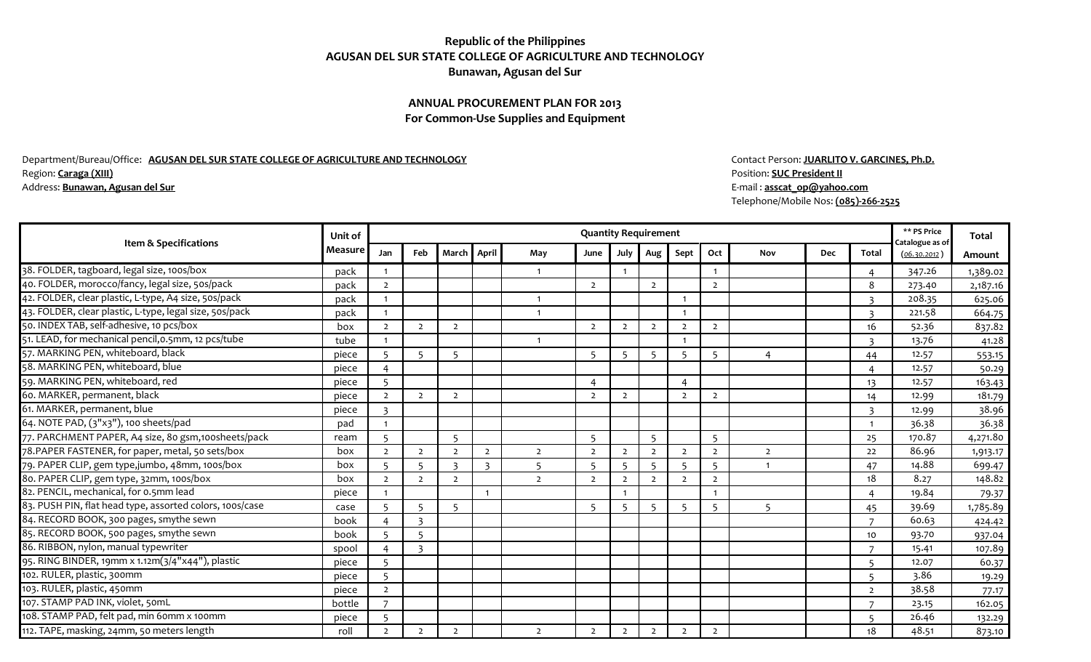# **ANNUAL PROCUREMENT PLAN FOR 2013 For Common-Use Supplies and Equipment**

### Department/Bureau/Office: **AGUSAN DEL SUR STATE COLLEGE OF AGRICULTURE AND TECHNOLOGY** CONTACT PERSON: JUARLITO V. GARCINES, Ph.D.

|                                                          | Unit of |                |                 |                         |                |                         |                 | <b>Quantity Requirement</b> |                |                |                         |                 |            |                         | ** PS Price                     | <b>Total</b> |
|----------------------------------------------------------|---------|----------------|-----------------|-------------------------|----------------|-------------------------|-----------------|-----------------------------|----------------|----------------|-------------------------|-----------------|------------|-------------------------|---------------------------------|--------------|
| Item & Specifications                                    | Measure | Jan            | Feb             | <b>March</b>            | April          | May                     | June            | July                        | Aug            | Sept           | Oct                     | Nov             | <b>Dec</b> | <b>Total</b>            | Catalogue as of<br>(06.30.2012) | Amount       |
| 38. FOLDER, tagboard, legal size, 100s/box               | pack    |                |                 |                         |                | $\overline{1}$          |                 |                             |                |                | $\overline{\mathbf{1}}$ |                 |            | $\overline{4}$          | 347.26                          | 1,389.02     |
| 40. FOLDER, morocco/fancy, legal size, 50s/pack          | pack    | $\overline{2}$ |                 |                         |                |                         | $\overline{2}$  |                             | $\overline{2}$ |                | $\overline{2}$          |                 |            | 8                       | 273.40                          | 2,187.16     |
| 42. FOLDER, clear plastic, L-type, A4 size, 50s/pack     | pack    |                |                 |                         |                | $\overline{\mathbf{1}}$ |                 |                             |                | $\mathbf{1}$   |                         |                 |            | $\overline{\mathbf{3}}$ | 208.35                          | 625.06       |
| 43. FOLDER, clear plastic, L-type, legal size, 50s/pack  | pack    | $\overline{1}$ |                 |                         |                | $\overline{\mathbf{1}}$ |                 |                             |                | $\mathbf{1}$   |                         |                 |            | $\overline{3}$          | 221.58                          | 664.75       |
| 50. INDEX TAB, self-adhesive, 10 pcs/box                 | box     | $\overline{2}$ | $\overline{2}$  | $\overline{2}$          |                |                         | $\overline{2}$  | $\overline{2}$              | $\overline{2}$ | $\overline{2}$ | $\overline{2}$          |                 |            | 16                      | 52.36                           | 837.82       |
| 51. LEAD, for mechanical pencil, 0.5mm, 12 pcs/tube      | tube    |                |                 |                         |                | $\overline{\mathbf{1}}$ |                 |                             |                | $\mathbf{1}$   |                         |                 |            | $\overline{3}$          | 13.76                           | 41.28        |
| 57. MARKING PEN, whiteboard, black                       | piece   | 5              | 5               |                         |                |                         | $5^{\circ}$     |                             | 5              | 5              | 5                       | $\overline{4}$  |            | 44                      | 12.57                           | 553.15       |
| 58. MARKING PEN, whiteboard, blue                        | piece   | $\overline{4}$ |                 |                         |                |                         |                 |                             |                |                |                         |                 |            | $\overline{4}$          | 12.57                           | 50.29        |
| 59. MARKING PEN, whiteboard, red                         | piece   | 5              |                 |                         |                |                         | $\overline{4}$  |                             |                | $\overline{4}$ |                         |                 |            | 13                      | 12.57                           | 163.43       |
| 60. MARKER, permanent, black                             | piece   | $\overline{2}$ | $\overline{2}$  | $\overline{2}$          |                |                         | $\overline{2}$  | $\overline{2}$              |                | $\overline{2}$ | $\overline{2}$          |                 |            | 14                      | 12.99                           | 181.79       |
| 61. MARKER, permanent, blue                              | piece   | $\overline{3}$ |                 |                         |                |                         |                 |                             |                |                |                         |                 |            | $\overline{3}$          | 12.99                           | 38.96        |
| 64. NOTE PAD, (3"x3"), 100 sheets/pad                    | pad     | $\mathbf{1}$   |                 |                         |                |                         |                 |                             |                |                |                         |                 |            | $\mathbf{1}$            | 36.38                           | 36.38        |
| 77. PARCHMENT PAPER, A4 size, 80 gsm,100sheets/pack      | ream    | 5              |                 | $\overline{5}$          |                |                         | $5\overline{5}$ |                             | 5              |                | 5                       |                 |            | 25                      | 170.87                          | 4,271.80     |
| 78. PAPER FASTENER, for paper, metal, 50 sets/box        | box     | $\overline{2}$ | $\overline{2}$  | $\overline{2}$          | $\overline{2}$ | $\overline{2}$          | $\overline{2}$  | $\overline{2}$              | $\overline{2}$ | $\overline{2}$ | $\overline{2}$          | $\overline{2}$  |            | 22                      | 86.96                           | 1,913.17     |
| 79. PAPER CLIP, gem type,jumbo, 48mm, 100s/box           | box     | $\overline{5}$ | $5\overline{)}$ | $\overline{\mathbf{z}}$ | $\overline{3}$ | $\overline{5}$          | $5\overline{)}$ | 5                           | 5              | $5^{\circ}$    | $5\overline{5}$         | $\mathbf{1}$    |            | 47                      | 14.88                           | 699.47       |
| 80. PAPER CLIP, gem type, 32mm, 100s/box                 | box     | $\overline{2}$ | $\overline{2}$  | $\overline{2}$          |                | $\overline{2}$          | $\overline{2}$  | $\overline{2}$              | $\overline{2}$ | $\overline{2}$ | $\overline{2}$          |                 |            | 18                      | 8.27                            | 148.82       |
| 82. PENCIL, mechanical, for 0.5mm lead                   | piece   |                |                 |                         | $\mathbf{1}$   |                         |                 |                             |                |                |                         |                 |            | $\overline{4}$          | 19.84                           | 79.37        |
| 83. PUSH PIN, flat head type, assorted colors, 100s/case | case    | 5              | 5               | 5                       |                |                         | 5               | -5                          | 5              | 5              | 5                       | $5\overline{5}$ |            | 45                      | 39.69                           | 1,785.89     |
| 84. RECORD BOOK, 300 pages, smythe sewn                  | book    | $\overline{4}$ | $\overline{3}$  |                         |                |                         |                 |                             |                |                |                         |                 |            | $\overline{7}$          | 60.63                           | 424.42       |
| 85. RECORD BOOK, 500 pages, smythe sewn                  | book    | 5              | 5               |                         |                |                         |                 |                             |                |                |                         |                 |            | 10                      | 93.70                           | 937.04       |
| 86. RIBBON, nylon, manual typewriter                     | spool   | $\overline{4}$ | $\overline{3}$  |                         |                |                         |                 |                             |                |                |                         |                 |            | $\overline{7}$          | 15.41                           | 107.89       |
| 95. RING BINDER, 19mm x 1.12m(3/4"x44"), plastic         | piece   | 5              |                 |                         |                |                         |                 |                             |                |                |                         |                 |            | $\overline{5}$          | 12.07                           | 60.37        |
| 102. RULER, plastic, 300mm                               | piece   | 5              |                 |                         |                |                         |                 |                             |                |                |                         |                 |            | 5                       | 3.86                            | 19.29        |
| 103. RULER, plastic, 450mm                               | piece   | $\overline{2}$ |                 |                         |                |                         |                 |                             |                |                |                         |                 |            | $\overline{2}$          | 38.58                           | 77.17        |
| 107. STAMP PAD INK, violet, 50mL                         | bottle  | $\overline{7}$ |                 |                         |                |                         |                 |                             |                |                |                         |                 |            | $\overline{7}$          | 23.15                           | 162.05       |
| 108. STAMP PAD, felt pad, min 60mm x 100mm               | piece   | 5              |                 |                         |                |                         |                 |                             |                |                |                         |                 |            | 5                       | 26.46                           | 132.29       |
| 112. TAPE, masking, 24mm, 50 meters length               | roll    | $\overline{2}$ | $\overline{2}$  | $\overline{2}$          |                | $\overline{2}$          | $\overline{2}$  | $\overline{2}$              | $\overline{2}$ | $\overline{2}$ | $\overline{2}$          |                 |            | 18                      | 48.51                           | 873.10       |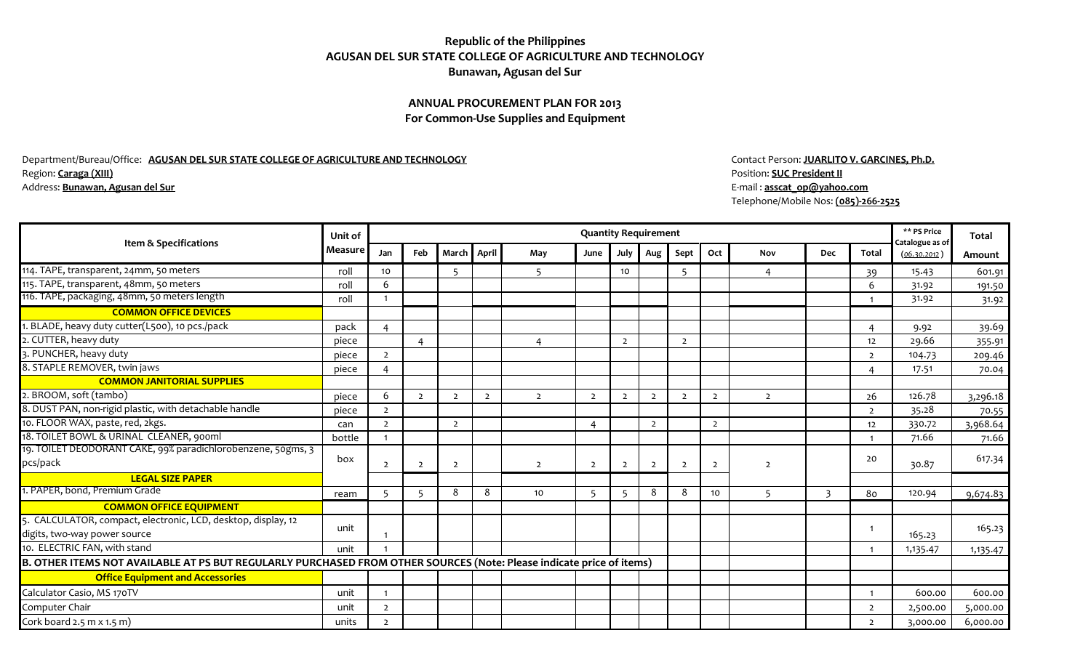# **ANNUAL PROCUREMENT PLAN FOR 2013 For Common-Use Supplies and Equipment**

# Department/Bureau/Office: **AGUSAN DEL SUR STATE COLLEGE OF AGRICULTURE AND TECHNOLOGY** CONTACT PERSON: JUARLITO V. GARCINES, Ph.D.

|                                                                                                                      | Unit of |                |                |                |                |                |                | <b>Quantity Requirement</b> |                |                |                |                |              |                | ** PS Price                     | <b>Total</b> |
|----------------------------------------------------------------------------------------------------------------------|---------|----------------|----------------|----------------|----------------|----------------|----------------|-----------------------------|----------------|----------------|----------------|----------------|--------------|----------------|---------------------------------|--------------|
| Item & Specifications                                                                                                | Measure | Jan            | Feb            | March          | April          | May            | June           | July                        | Aug            | Sept           | Oct            | <b>Nov</b>     | <b>Dec</b>   | Total          | Catalogue as of<br>(06.30.2012) | Amount       |
| 114. TAPE, transparent, 24mm, 50 meters                                                                              | roll    | 10             |                | 5              |                | $\overline{5}$ |                | 10                          |                | 5              |                | $\overline{4}$ |              | 39             | 15.43                           | 601.91       |
| 115. TAPE, transparent, 48mm, 50 meters                                                                              | roll    | 6              |                |                |                |                |                |                             |                |                |                |                |              | 6              | 31.92                           | 191.50       |
| 116. TAPE, packaging, 48mm, 50 meters length                                                                         | roll    | -1             |                |                |                |                |                |                             |                |                |                |                |              |                | 31.92                           | 31.92        |
| <b>COMMON OFFICE DEVICES</b>                                                                                         |         |                |                |                |                |                |                |                             |                |                |                |                |              |                |                                 |              |
| . BLADE, heavy duty cutter(L500), 10 pcs./pack                                                                       | pack    | $\overline{4}$ |                |                |                |                |                |                             |                |                |                |                |              | $\overline{4}$ | 9.92                            | 39.69        |
| 2. CUTTER, heavy duty                                                                                                | piece   |                | $\overline{4}$ |                |                |                |                | $\overline{2}$              |                | $\overline{2}$ |                |                |              | 12             | 29.66                           | 355.91       |
| 3. PUNCHER, heavy duty                                                                                               | piece   | $\overline{2}$ |                |                |                |                |                |                             |                |                |                |                |              | $\overline{2}$ | 104.73                          | 209.46       |
| 8. STAPLE REMOVER, twin jaws                                                                                         | piece   | $\overline{4}$ |                |                |                |                |                |                             |                |                |                |                |              | $\overline{4}$ | 17.51                           | 70.04        |
| <b>COMMON JANITORIAL SUPPLIES</b>                                                                                    |         |                |                |                |                |                |                |                             |                |                |                |                |              |                |                                 |              |
| 2. BROOM, soft (tambo)                                                                                               | piece   | 6              | $\overline{2}$ | $\overline{2}$ | $\overline{2}$ | $\overline{2}$ | $\overline{2}$ | $\overline{2}$              | $\overline{2}$ | $\overline{2}$ | $\overline{2}$ | $\overline{2}$ |              | 26             | 126.78                          | 3,296.18     |
| 8. DUST PAN, non-rigid plastic, with detachable handle                                                               | piece   | $\overline{2}$ |                |                |                |                |                |                             |                |                |                |                |              | $\overline{2}$ | 35.28                           | 70.55        |
| 10. FLOOR WAX, paste, red, 2kgs.                                                                                     | can     | $\overline{2}$ |                | $\overline{2}$ |                |                | $\overline{4}$ |                             | $\overline{2}$ |                | $\overline{2}$ |                |              | 12             | 330.72                          | 3,968.64     |
| 18. TOILET BOWL & URINAL CLEANER, 900ml                                                                              | bottle  |                |                |                |                |                |                |                             |                |                |                |                |              | $\mathbf{1}$   | 71.66                           | 71.66        |
| 19. TOILET DEODORANT CAKE, 99% paradichlorobenzene, 50gms, 3                                                         |         |                |                |                |                |                |                |                             |                |                |                |                |              |                |                                 |              |
| pcs/pack                                                                                                             | box     | $\overline{2}$ | $\overline{2}$ | $\overline{2}$ |                | $\overline{2}$ | $\overline{2}$ | $\overline{2}$              | $\overline{2}$ | $\overline{2}$ | $\overline{2}$ | $\overline{2}$ |              | 20             | 30.87                           | 617.34       |
| <b>LEGAL SIZE PAPER</b>                                                                                              |         |                |                |                |                |                |                |                             |                |                |                |                |              |                |                                 |              |
| 1. PAPER, bond, Premium Grade                                                                                        | ream    | 5              | $\overline{5}$ | 8              | 8              | 10             | 5              |                             | 8              | 8              | 10             | $\overline{5}$ | $\mathbf{3}$ | 80             | 120.94                          | 9,674.83     |
| <b>COMMON OFFICE EQUIPMENT</b>                                                                                       |         |                |                |                |                |                |                |                             |                |                |                |                |              |                |                                 |              |
| 5. CALCULATOR, compact, electronic, LCD, desktop, display, 12<br>digits, two-way power source                        | unit    |                |                |                |                |                |                |                             |                |                |                |                |              | -1             | 165.23                          | 165.23       |
| 10. ELECTRIC FAN, with stand                                                                                         | unit    |                |                |                |                |                |                |                             |                |                |                |                |              | $\mathbf{1}$   | 1,135.47                        | 1,135.47     |
| B. OTHER ITEMS NOT AVAILABLE AT PS BUT REGULARLY PURCHASED FROM OTHER SOURCES (Note: Please indicate price of items) |         |                |                |                |                |                |                |                             |                |                |                |                |              |                |                                 |              |
| <b>Office Equipment and Accessories</b>                                                                              |         |                |                |                |                |                |                |                             |                |                |                |                |              |                |                                 |              |
| Calculator Casio, MS 170TV                                                                                           | unit    | $\overline{1}$ |                |                |                |                |                |                             |                |                |                |                |              |                | 600.00                          | 600.00       |
| Computer Chair                                                                                                       | unit    | $\overline{2}$ |                |                |                |                |                |                             |                |                |                |                |              | $\overline{2}$ | 2,500.00                        | 5,000.00     |
| Cork board $2.5$ m $x$ $1.5$ m)                                                                                      | units   | $\overline{2}$ |                |                |                |                |                |                             |                |                |                |                |              | $\overline{2}$ | 3,000.00                        | 6,000.00     |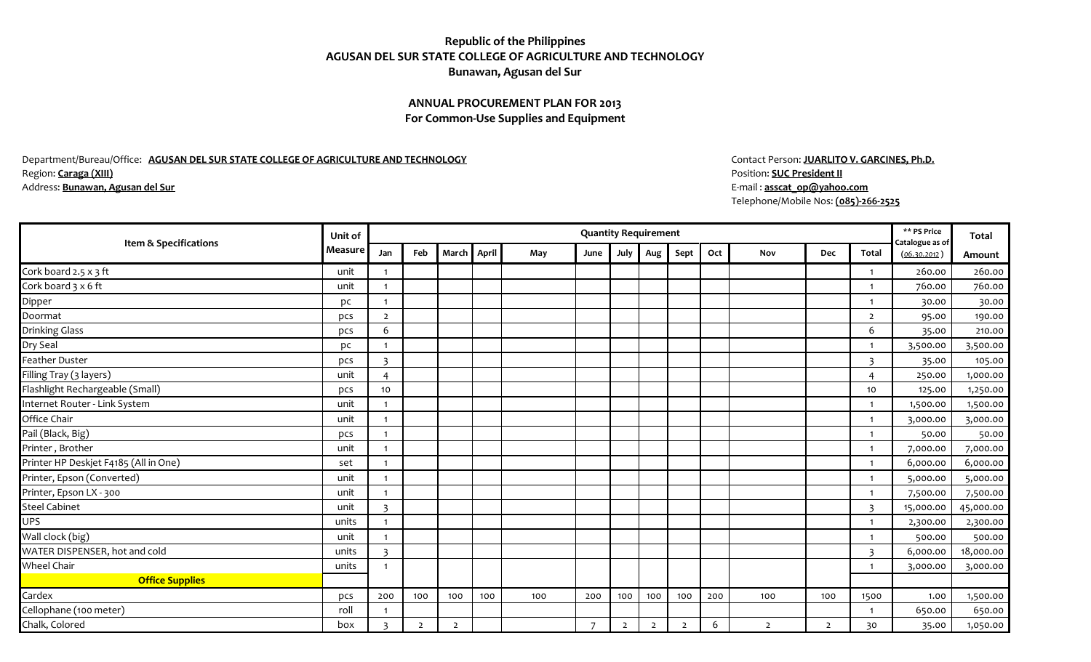# **ANNUAL PROCUREMENT PLAN FOR 2013 For Common-Use Supplies and Equipment**

Department/Bureau/Office: **AGUSAN DEL SUR STATE COLLEGE OF AGRICULTURE AND TECHNOLOGY** CONTACT PERSON: JUARLITO V. GARCINES, Ph.D. Region: **Caraga (XIII)** Position: **SUC President II**

Address: **Bunawan, Agusan del Sur** E-mail : **asscat\_op@yahoo.com** Telephone/Mobile Nos: **(085)-266-2525**

|                                       | Unit of |                         |                |                |     |     |                | <b>Quantity Requirement</b> |                |                |     |                |                |                | ** PS Price                     | <b>Total</b> |
|---------------------------------------|---------|-------------------------|----------------|----------------|-----|-----|----------------|-----------------------------|----------------|----------------|-----|----------------|----------------|----------------|---------------------------------|--------------|
| Item & Specifications                 | Measure | Jan                     | Feb            | March April    |     | May | June           | July                        | Aug            | Sept           | Oct | Nov            | Dec            | Total          | Catalogue as of<br>(06.30.2012) | Amount       |
| Cork board 2.5 x 3 ft                 | unit    |                         |                |                |     |     |                |                             |                |                |     |                |                | $\overline{1}$ | 260.00                          | 260.00       |
| Cork board 3 x 6 ft                   | unit    |                         |                |                |     |     |                |                             |                |                |     |                |                | $\overline{1}$ | 760.00                          | 760.00       |
| Dipper                                | pc      |                         |                |                |     |     |                |                             |                |                |     |                |                | $\overline{1}$ | 30.00                           | 30.00        |
| Doormat                               | pcs     | $\overline{2}$          |                |                |     |     |                |                             |                |                |     |                |                | $\overline{2}$ | 95.00                           | 190.00       |
| Drinking Glass                        | pcs     | 6                       |                |                |     |     |                |                             |                |                |     |                |                | 6              | 35.00                           | 210.00       |
| Dry Seal                              | pc      |                         |                |                |     |     |                |                             |                |                |     |                |                | $\mathbf{1}$   | 3,500.00                        | 3,500.00     |
| Feather Duster                        | pcs     | $\overline{\mathbf{3}}$ |                |                |     |     |                |                             |                |                |     |                |                | 3              | 35.00                           | 105.00       |
| Filling Tray (3 layers)               | unit    | $\overline{4}$          |                |                |     |     |                |                             |                |                |     |                |                | 4              | 250.00                          | 1,000.00     |
| Flashlight Rechargeable (Small)       | pcs     | 10                      |                |                |     |     |                |                             |                |                |     |                |                | 10             | 125.00                          | 1,250.00     |
| Internet Router - Link System         | unit    |                         |                |                |     |     |                |                             |                |                |     |                |                | $\overline{1}$ | 1,500.00                        | 1,500.00     |
| Office Chair                          | unit    | $\mathbf{1}$            |                |                |     |     |                |                             |                |                |     |                |                | $\mathbf{1}$   | 3,000.00                        | 3,000.00     |
| Pail (Black, Big)                     | pcs     |                         |                |                |     |     |                |                             |                |                |     |                |                | $\overline{1}$ | 50.00                           | 50.00        |
| Printer, Brother                      | unit    |                         |                |                |     |     |                |                             |                |                |     |                |                | $\overline{1}$ | 7,000.00                        | 7,000.00     |
| Printer HP Deskjet F4185 (All in One) | set     |                         |                |                |     |     |                |                             |                |                |     |                |                | $\mathbf{1}$   | 6,000.00                        | 6,000.00     |
| Printer, Epson (Converted)            | unit    | $\mathbf 1$             |                |                |     |     |                |                             |                |                |     |                |                | $\mathbf{1}$   | 5,000.00                        | 5,000.00     |
| Printer, Epson LX - 300               | unit    |                         |                |                |     |     |                |                             |                |                |     |                |                | $\overline{1}$ | 7,500.00                        | 7,500.00     |
| <b>Steel Cabinet</b>                  | unit    | $\overline{3}$          |                |                |     |     |                |                             |                |                |     |                |                | $\overline{3}$ | 15,000.00                       | 45,000.00    |
| UPS                                   | units   | $\mathbf{1}$            |                |                |     |     |                |                             |                |                |     |                |                | $\mathbf{1}$   | 2,300.00                        | 2,300.00     |
| Wall clock (big)                      | unit    |                         |                |                |     |     |                |                             |                |                |     |                |                | $\mathbf{1}$   | 500.00                          | 500.00       |
| WATER DISPENSER, hot and cold         | units   | $\overline{3}$          |                |                |     |     |                |                             |                |                |     |                |                | $\overline{3}$ | 6,000.00                        | 18,000.00    |
| Wheel Chair                           | units   | $\mathbf 1$             |                |                |     |     |                |                             |                |                |     |                |                | $\mathbf{1}$   | 3,000.00                        | 3,000.00     |
| <b>Office Supplies</b>                |         |                         |                |                |     |     |                |                             |                |                |     |                |                |                |                                 |              |
| Cardex                                | pcs     | 200                     | 100            | 100            | 100 | 100 | 200            | 100                         | 100            | 100            | 200 | 100            | 100            | 1500           | 1.00                            | 1,500.00     |
| Cellophane (100 meter)                | roll    |                         |                |                |     |     |                |                             |                |                |     |                |                | $\mathbf{1}$   | 650.00                          | 650.00       |
| Chalk, Colored                        | box     | 3                       | $\overline{2}$ | $\overline{2}$ |     |     | $\overline{7}$ | $\overline{2}$              | $\overline{2}$ | $\overline{2}$ | 6   | $\overline{2}$ | $\overline{2}$ | 30             | 35.00                           | 1,050.00     |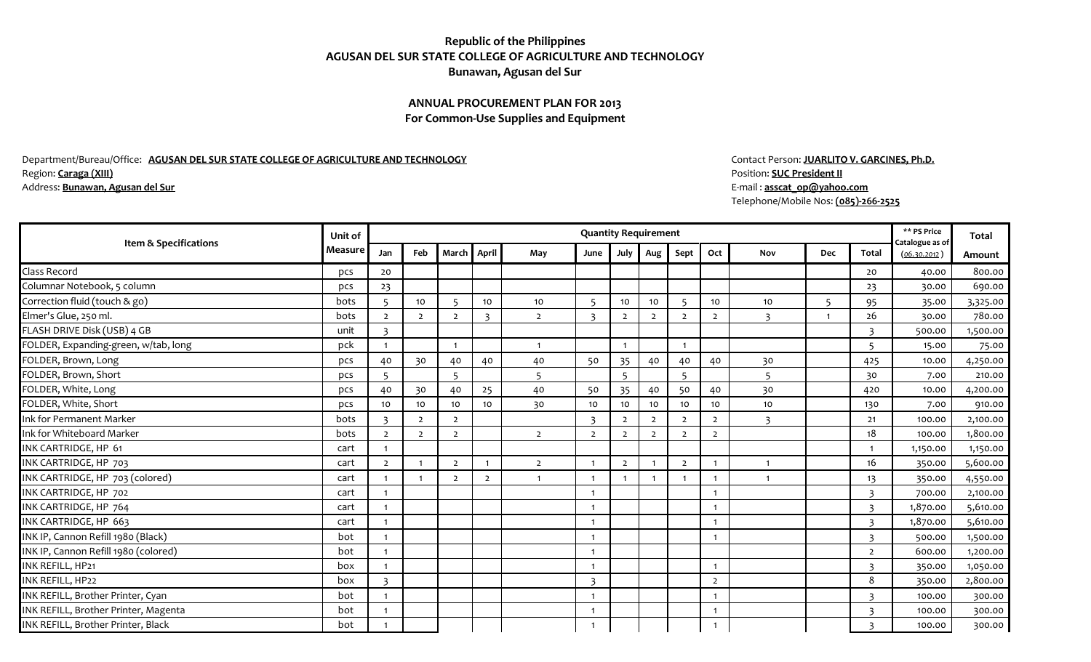# **ANNUAL PROCUREMENT PLAN FOR 2013 For Common-Use Supplies and Equipment**

### Department/Bureau/Office: **AGUSAN DEL SUR STATE COLLEGE OF AGRICULTURE AND TECHNOLOGY** CONTACT PERSON: JUARLITO V. GARCINES, Ph.D.

|                                      | Unit of        |                         |                |                |                |                | <b>Quantity Requirement</b> |                          |                |                |                |                |     |                | ** PS Price                     | <b>Total</b> |
|--------------------------------------|----------------|-------------------------|----------------|----------------|----------------|----------------|-----------------------------|--------------------------|----------------|----------------|----------------|----------------|-----|----------------|---------------------------------|--------------|
| Item & Specifications                | <b>Measure</b> | Jan                     | Feb            | March          | April          | May            | June                        | July                     | Aug            | Sept           | Oct            | Nov            | Dec | <b>Total</b>   | Catalogue as of<br>(06.30.2012) | Amount       |
| Class Record                         | pcs            | 20                      |                |                |                |                |                             |                          |                |                |                |                |     | 20             | 40.00                           | 800.00       |
| Columnar Notebook, 5 column          | pcs            | 23                      |                |                |                |                |                             |                          |                |                |                |                |     | 23             | 30.00                           | 690.00       |
| Correction fluid (touch & go)        | bots           | 5                       | 10             |                | 10             | 10             | 5                           | 10                       | 10             | 5              | 10             | 10             | 5   | 95             | 35.00                           | 3,325.00     |
| Elmer's Glue, 250 ml.                | bots           | $\overline{2}$          | $\overline{2}$ | $\overline{2}$ | $\overline{3}$ | $\overline{2}$ | $\overline{3}$              | $\overline{2}$           | $\overline{2}$ | $\overline{2}$ | $\overline{2}$ | $\overline{3}$ |     | 26             | 30.00                           | 780.00       |
| FLASH DRIVE Disk (USB) 4 GB          | unit           | $\overline{\mathbf{3}}$ |                |                |                |                |                             |                          |                |                |                |                |     | $\overline{3}$ | 500.00                          | 1,500.00     |
| FOLDER, Expanding-green, w/tab, long | pck            | $\mathbf{1}$            |                | $\mathbf{1}$   |                | $\overline{1}$ |                             |                          |                | $\overline{1}$ |                |                |     | 5              | 15.00                           | 75.00        |
| FOLDER, Brown, Long                  | pcs            | 40                      | 30             | 40             | 40             | 40             | 50                          | 35                       | 40             | 40             | 40             | 30             |     | 425            | 10.00                           | 4,250.00     |
| FOLDER, Brown, Short                 | pcs            | $\overline{5}$          |                |                |                | $\overline{5}$ |                             | $\overline{\phantom{a}}$ |                | $\overline{5}$ |                | 5              |     | 30             | 7.00                            | 210.00       |
| FOLDER, White, Long                  | pcs            | 40                      | 30             | 40             | 25             | 40             | 50                          | 35                       | 40             | 50             | 40             | 30             |     | 420            | 10.00                           | 4,200.00     |
| FOLDER, White, Short                 | pcs            | 10                      | 10             | 10             | 10             | 30             | 10                          | 10                       | 10             | 10             | 10             | 10             |     | 130            | 7.00                            | 910.00       |
| Ink for Permanent Marker             | bots           | $\overline{\mathbf{3}}$ | $\overline{2}$ | $\overline{2}$ |                |                | $\overline{3}$              | $\overline{2}$           | $\overline{2}$ | $\overline{2}$ | $\overline{2}$ | $\overline{3}$ |     | 21             | 100.00                          | 2,100.00     |
| Ink for Whiteboard Marker            | bots           | $\overline{2}$          | $\overline{2}$ | $\overline{2}$ |                | $\overline{2}$ | $\overline{2}$              | $\overline{2}$           | $\overline{2}$ | $\overline{2}$ | $\overline{2}$ |                |     | 18             | 100.00                          | 1,800.00     |
| INK CARTRIDGE, HP 61                 | cart           | $\mathbf{1}$            |                |                |                |                |                             |                          |                |                |                |                |     | $\mathbf{1}$   | 1,150.00                        | 1,150.00     |
| INK CARTRIDGE, HP 703                | cart           | $\overline{2}$          | $\overline{1}$ | $\overline{2}$ | $\mathbf{1}$   | $\overline{2}$ | $\overline{1}$              | $\overline{2}$           |                | $\overline{2}$ |                | $\mathbf{1}$   |     | 16             | 350.00                          | 5,600.00     |
| INK CARTRIDGE, HP 703 (colored)      | cart           | -1                      | $\mathbf{1}$   | $\overline{2}$ | $\overline{2}$ | $\overline{1}$ | $\overline{1}$              |                          | $\overline{1}$ | $\mathbf{1}$   |                | $\mathbf{1}$   |     | 13             | 350.00                          | 4,550.00     |
| INK CARTRIDGE, HP 702                | cart           | $\mathbf{1}$            |                |                |                |                | $\overline{1}$              |                          |                |                |                |                |     | $\overline{3}$ | 700.00                          | 2,100.00     |
| INK CARTRIDGE, HP 764                | cart           | $\mathbf{1}$            |                |                |                |                | $\overline{1}$              |                          |                |                | $\mathbf{1}$   |                |     | $\overline{3}$ | 1,870.00                        | 5,610.00     |
| INK CARTRIDGE, HP 663                | cart           | $\mathbf{1}$            |                |                |                |                | $\overline{1}$              |                          |                |                |                |                |     | $\overline{3}$ | 1,870.00                        | 5,610.00     |
| INK IP, Cannon Refill 1980 (Black)   | bot            |                         |                |                |                |                | $\overline{1}$              |                          |                |                |                |                |     | 3              | 500.00                          | 1,500.00     |
| INK IP, Cannon Refill 1980 (colored) | bot            | $\overline{\mathbf{1}}$ |                |                |                |                |                             |                          |                |                |                |                |     | $\overline{2}$ | 600.00                          | 1,200.00     |
| INK REFILL, HP21                     | box            | $\mathbf{1}$            |                |                |                |                | $\mathbf{1}$                |                          |                |                |                |                |     | $\overline{3}$ | 350.00                          | 1,050.00     |
| INK REFILL, HP22                     | box            | $\overline{\mathbf{3}}$ |                |                |                |                | 3                           |                          |                |                | $\overline{2}$ |                |     | $\,8\,$        | 350.00                          | 2,800.00     |
| INK REFILL, Brother Printer, Cyan    | bot            | -1                      |                |                |                |                |                             |                          |                |                | -1             |                |     | $\overline{3}$ | 100.00                          | 300.00       |
| INK REFILL, Brother Printer, Magenta | bot            | $\mathbf{1}$            |                |                |                |                | $\mathbf{1}$                |                          |                |                | $\mathbf{1}$   |                |     | $\overline{3}$ | 100.00                          | 300.00       |
| INK REFILL, Brother Printer, Black   | bot            |                         |                |                |                |                | $\mathbf{1}$                |                          |                |                |                |                |     | $\overline{3}$ | 100.00                          | 300.00       |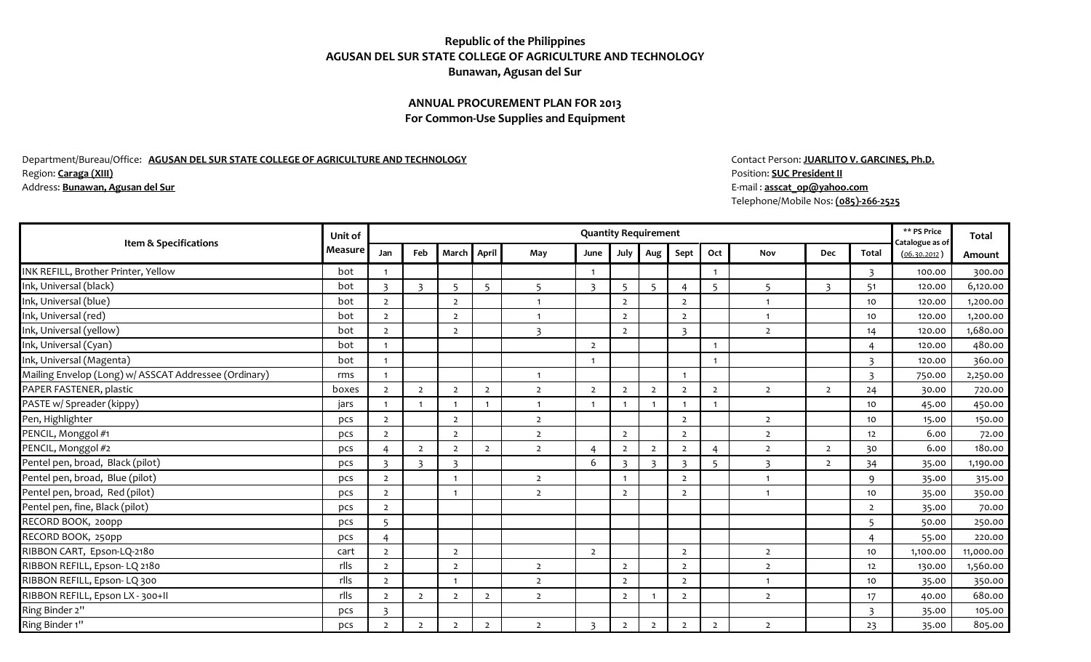# **ANNUAL PROCUREMENT PLAN FOR 2013 For Common-Use Supplies and Equipment**

# Department/Bureau/Office: **AGUSAN DEL SUR STATE COLLEGE OF AGRICULTURE AND TECHNOLOGY** CONTACT PERSON: JUARLITO V. GARCINES, Ph.D.

|                                                       | Unit of |                         |                |                |                |                | <b>Quantity Requirement</b> |                |                 |                |                         |                         |                |                         | ** PS Price                     | Total     |
|-------------------------------------------------------|---------|-------------------------|----------------|----------------|----------------|----------------|-----------------------------|----------------|-----------------|----------------|-------------------------|-------------------------|----------------|-------------------------|---------------------------------|-----------|
| <b>Item &amp; Specifications</b>                      | Measure | Jan                     | Feb            | March April    |                | May            | June                        | July           | Aug             | Sept           | Oct                     | Nov                     | <b>Dec</b>     | <b>Total</b>            | Catalogue as of<br>(06.30.2012) | Amount    |
| INK REFILL, Brother Printer, Yellow                   | bot     |                         |                |                |                |                | $\mathbf{1}$                |                |                 |                | $\overline{\mathbf{1}}$ |                         |                | $\overline{\mathbf{3}}$ | 100.00                          | 300.00    |
| Ink, Universal (black)                                | bot     | $\overline{3}$          | $\overline{3}$ | 5              | 5              | 5              | $\overline{\mathbf{3}}$     | 5              | $5\overline{)}$ | $\overline{4}$ | 5                       | 5                       | $\overline{3}$ | 51                      | 120.00                          | 6,120.00  |
| Ink, Universal (blue)                                 | bot     | $\overline{2}$          |                | $\overline{2}$ |                | $\mathbf{1}$   |                             | $\overline{2}$ |                 | $\overline{2}$ |                         | $\mathbf{1}$            |                | 10                      | 120.00                          | 1,200.00  |
| Ink, Universal (red)                                  | bot     | $\overline{2}$          |                | $\overline{2}$ |                | $\mathbf{1}$   |                             | $\overline{2}$ |                 | $\overline{2}$ |                         | $\mathbf{1}$            |                | 10                      | 120.00                          | 1,200.00  |
| Ink, Universal (yellow)                               | bot     | $\overline{2}$          |                | $\overline{2}$ |                | $\overline{3}$ |                             | $\overline{2}$ |                 | $\overline{3}$ |                         | $\overline{2}$          |                | 14                      | 120.00                          | 1,680.00  |
| Ink, Universal (Cyan)                                 | bot     |                         |                |                |                |                | $\overline{2}$              |                |                 |                | $\mathbf{1}$            |                         |                | $\overline{4}$          | 120.00                          | 480.00    |
| Ink, Universal (Magenta)                              | bot     |                         |                |                |                |                | $\mathbf{1}$                |                |                 |                | $\overline{1}$          |                         |                | 3                       | 120.00                          | 360.00    |
| Mailing Envelop (Long) w/ ASSCAT Addressee (Ordinary) | rms     |                         |                |                |                |                |                             |                |                 |                |                         |                         |                | $\overline{3}$          | 750.00                          | 2,250.00  |
| PAPER FASTENER, plastic                               | boxes   | $\overline{2}$          | $\overline{2}$ | $\overline{2}$ | $\overline{2}$ | $\overline{2}$ | $\overline{2}$              | $\overline{2}$ | $\overline{2}$  | $\overline{2}$ | $\overline{2}$          | $\overline{2}$          | $\overline{2}$ | 24                      | 30.00                           | 720.00    |
| PASTE w/ Spreader (kippy)                             | jars    |                         | $\mathbf{1}$   |                |                | $\mathbf{1}$   | $\mathbf{1}$                |                |                 |                | $\overline{1}$          |                         |                | 10                      | 45.00                           | 450.00    |
| Pen, Highlighter                                      | pcs     | $\overline{2}$          |                | $\overline{2}$ |                | $\overline{2}$ |                             |                |                 | $\overline{2}$ |                         | $\overline{2}$          |                | 10                      | 15.00                           | 150.00    |
| PENCIL, Monggol #1                                    | pcs     | $\overline{2}$          |                | $\overline{2}$ |                | $\overline{2}$ |                             | $\overline{2}$ |                 | $\overline{2}$ |                         | $\overline{2}$          |                | 12                      | 6.00                            | 72.00     |
| PENCIL, Monggol #2                                    | pcs     |                         | $\overline{2}$ | $\overline{2}$ | $\overline{2}$ | $\overline{2}$ | $\overline{4}$              | $\overline{2}$ | $\overline{2}$  | $\overline{2}$ | $\overline{4}$          | $\overline{2}$          | $\overline{2}$ | 30                      | 6.00                            | 180.00    |
| Pentel pen, broad, Black (pilot)                      | pcs     | $\overline{\mathbf{3}}$ | $\overline{3}$ | $\overline{3}$ |                |                | 6                           | 3              | $\overline{3}$  | $\overline{3}$ | 5                       | $\overline{3}$          | $\overline{2}$ | 34                      | 35.00                           | 1,190.00  |
| Pentel pen, broad, Blue (pilot)                       | pcs     | $\overline{2}$          |                |                |                | $\overline{2}$ |                             |                |                 | $\overline{2}$ |                         | $\mathbf{1}$            |                | 9                       | 35.00                           | 315.00    |
| Pentel pen, broad, Red (pilot)                        | pcs     | $\overline{2}$          |                |                |                | $\overline{2}$ |                             | $\overline{2}$ |                 | $\overline{2}$ |                         | $\overline{\mathbf{1}}$ |                | 10                      | 35.00                           | 350.00    |
| Pentel pen, fine, Black (pilot)                       | pcs     | $\overline{2}$          |                |                |                |                |                             |                |                 |                |                         |                         |                | $\overline{2}$          | 35.00                           | 70.00     |
| RECORD BOOK, 200pp                                    | pcs     | 5                       |                |                |                |                |                             |                |                 |                |                         |                         |                | 5                       | 50.00                           | 250.00    |
| RECORD BOOK, 250pp                                    | pcs     |                         |                |                |                |                |                             |                |                 |                |                         |                         |                | $\overline{4}$          | 55.00                           | 220.00    |
| RIBBON CART, Epson-LQ-2180                            | cart    | $\overline{2}$          |                | $\overline{2}$ |                |                | $\overline{2}$              |                |                 | $\overline{2}$ |                         | $\overline{2}$          |                | 10                      | 1,100.00                        | 11,000.00 |
| RIBBON REFILL, Epson-LQ 2180                          | rlls    | $\overline{2}$          |                | $\overline{2}$ |                | $\overline{2}$ |                             | $\overline{2}$ |                 | $\overline{2}$ |                         | $\overline{2}$          |                | 12                      | 130.00                          | 1,560.00  |
| RIBBON REFILL, Epson-LQ 300                           | rlls    | $\overline{2}$          |                |                |                | $\overline{2}$ |                             | $\overline{2}$ |                 | $\overline{2}$ |                         | $\overline{\mathbf{1}}$ |                | 10                      | 35.00                           | 350.00    |
| RIBBON REFILL, Epson LX - 300+II                      | rlls    | $\overline{2}$          | $\overline{2}$ | $\overline{2}$ | $\overline{2}$ | $\overline{2}$ |                             | $\overline{2}$ |                 | $\overline{2}$ |                         | $\overline{2}$          |                | 17                      | 40.00                           | 680.00    |
| Ring Binder 2"                                        | pcs     | $\mathbf{3}$            |                |                |                |                |                             |                |                 |                |                         |                         |                | 3                       | 35.00                           | 105.00    |
| Ring Binder 1"                                        | pcs     | $\overline{2}$          | $\overline{2}$ | $\overline{2}$ | $\overline{2}$ | $\overline{2}$ | $\overline{\mathbf{3}}$     | $\overline{2}$ | $\overline{2}$  | $\overline{2}$ | $\overline{2}$          | $\overline{2}$          |                | 23                      | 35.00                           | 805.00    |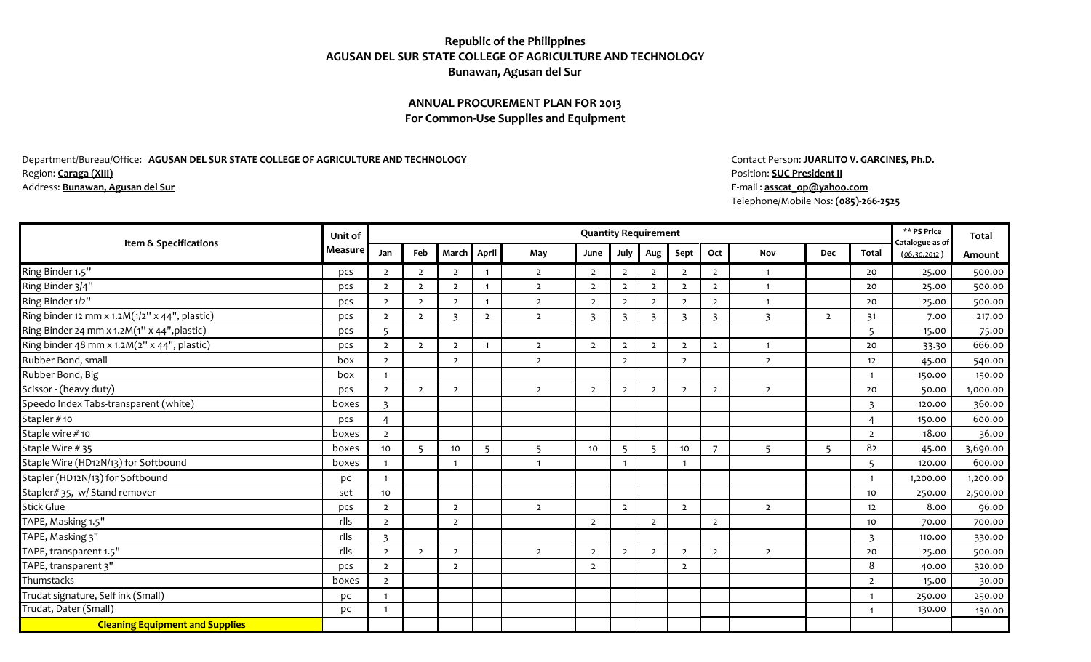# **ANNUAL PROCUREMENT PLAN FOR 2013 For Common-Use Supplies and Equipment**

# Department/Bureau/Office: **AGUSAN DEL SUR STATE COLLEGE OF AGRICULTURE AND TECHNOLOGY** CONTACT PERSON: JUARLITO V. GARCINES, Ph.D.

|                                               | Unit of |                         |                |                |                |                | <b>Quantity Requirement</b> |                         |                |                |                         |                |                |                | ** PS Price                     | <b>Total</b> |
|-----------------------------------------------|---------|-------------------------|----------------|----------------|----------------|----------------|-----------------------------|-------------------------|----------------|----------------|-------------------------|----------------|----------------|----------------|---------------------------------|--------------|
| Item & Specifications                         | Measure | Jan                     | Feb            | March          | <b>April</b>   | May            | June                        | July                    | Aug            | Sept           | Oct                     | Nov            | Dec            | <b>Total</b>   | Catalogue as of<br>(06.30.2012) | Amount       |
| Ring Binder 1.5"                              | pcs     | $\overline{2}$          | $\overline{2}$ | $\overline{2}$ | $\overline{1}$ | $\overline{2}$ | $\overline{2}$              | $\overline{2}$          | $\overline{2}$ | $\overline{2}$ | $\overline{2}$          | $\mathbf{1}$   |                | 20             | 25.00                           | 500.00       |
| Ring Binder 3/4"                              | pcs     | $\overline{2}$          | $\overline{2}$ | $\overline{2}$ | $\mathbf{1}$   | $\overline{2}$ | $\overline{2}$              | $\overline{2}$          | $\overline{2}$ | $\overline{2}$ | $\overline{2}$          | $\mathbf{1}$   |                | 20             | 25.00                           | 500.00       |
| Ring Binder 1/2"                              | pcs     | $\overline{2}$          | $\overline{2}$ | $\overline{2}$ | $\overline{1}$ | $\overline{2}$ | $\overline{2}$              | $\overline{2}$          | $\overline{2}$ | $\overline{2}$ | $\overline{2}$          |                |                | 20             | 25.00                           | 500.00       |
| Ring binder 12 mm x 1.2M(1/2" x 44", plastic) | pcs     | $\overline{2}$          | $\overline{2}$ | $\mathbf{R}$   | $\overline{2}$ | $\overline{2}$ | 3                           | $\overline{\mathbf{3}}$ | $\overline{3}$ | $\overline{3}$ | $\overline{\mathbf{3}}$ | $\overline{3}$ | $\overline{2}$ | 31             | 7.00                            | 217.00       |
| Ring Binder 24 mm x 1.2M(1" x 44", plastic)   | pcs     | 5                       |                |                |                |                |                             |                         |                |                |                         |                |                | 5              | 15.00                           | 75.00        |
| Ring binder 48 mm x 1.2M(2" x 44", plastic)   | pcs     | $\overline{2}$          | $\overline{2}$ | $\overline{2}$ | $\overline{1}$ | $\overline{2}$ | $\overline{2}$              | $\overline{2}$          | $\overline{2}$ | $\overline{2}$ | $\overline{2}$          | $\mathbf{1}$   |                | 20             | 33.30                           | 666.00       |
| Rubber Bond, small                            | box     | $\overline{2}$          |                | $\overline{2}$ |                | $\overline{2}$ |                             | $\overline{2}$          |                | $\overline{2}$ |                         | $\overline{2}$ |                | 12             | 45.00                           | 540.00       |
| Rubber Bond, Big                              | box     | $\overline{1}$          |                |                |                |                |                             |                         |                |                |                         |                |                | $\overline{1}$ | 150.00                          | 150.00       |
| Scissor - (heavy duty)                        | pcs     | $\overline{2}$          | $\overline{2}$ | $\overline{2}$ |                | $\overline{2}$ | $\overline{2}$              | $\overline{2}$          | $\overline{2}$ | $\overline{2}$ | $\overline{2}$          | $\overline{2}$ |                | 20             | 50.00                           | 1,000.00     |
| Speedo Index Tabs-transparent (white)         | boxes   | $\overline{3}$          |                |                |                |                |                             |                         |                |                |                         |                |                | 3              | 120.00                          | 360.00       |
| Stapler #10                                   | pcs     | $\overline{4}$          |                |                |                |                |                             |                         |                |                |                         |                |                | $\overline{4}$ | 150.00                          | 600.00       |
| Staple wire #10                               | boxes   | $\overline{2}$          |                |                |                |                |                             |                         |                |                |                         |                |                | $\overline{2}$ | 18.00                           | 36.00        |
| Staple Wire #35                               | boxes   | 10                      | 5              | 10             | 5              | 5              | 10                          | 5                       | 5              | 10             | $\overline{7}$          | 5              | 5              | 82             | 45.00                           | 3,690.00     |
| Staple Wire (HD12N/13) for Softbound          | boxes   | $\overline{\mathbf{1}}$ |                |                |                | $\overline{1}$ |                             |                         |                | $\overline{1}$ |                         |                |                | 5              | 120.00                          | 600.00       |
| Stapler (HD12N/13) for Softbound              | pc      |                         |                |                |                |                |                             |                         |                |                |                         |                |                | $\mathbf{1}$   | 1,200.00                        | 1,200.00     |
| Stapler# 35, w/ Stand remover                 | set     | 10                      |                |                |                |                |                             |                         |                |                |                         |                |                | 10             | 250.00                          | 2,500.00     |
| <b>Stick Glue</b>                             | pcs     | $\overline{2}$          |                | $\overline{2}$ |                | $\overline{2}$ |                             | $\overline{2}$          |                | $\overline{2}$ |                         | $\overline{2}$ |                | 12             | 8.00                            | 96.00        |
| TAPE, Masking 1.5"                            | rlls    | $\overline{2}$          |                | $\overline{2}$ |                |                | $\overline{2}$              |                         | $\overline{2}$ |                | $\overline{2}$          |                |                | 10             | 70.00                           | 700.00       |
| TAPE, Masking 3"                              | rlls    | $\overline{3}$          |                |                |                |                |                             |                         |                |                |                         |                |                | 3              | 110.00                          | 330.00       |
| TAPE, transparent 1.5"                        | rlls    | $\overline{2}$          | $\overline{2}$ | $\overline{2}$ |                | $\overline{2}$ | $\overline{2}$              | $\overline{2}$          | $\overline{2}$ | $\overline{2}$ | $\overline{2}$          | $\overline{2}$ |                | 20             | 25.00                           | 500.00       |
| TAPE, transparent 3"                          | pcs     | $\overline{2}$          |                | $\overline{2}$ |                |                | $\overline{2}$              |                         |                | $\overline{2}$ |                         |                |                | 8              | 40.00                           | 320.00       |
| Thumstacks                                    | boxes   | $\overline{2}$          |                |                |                |                |                             |                         |                |                |                         |                |                | $\overline{2}$ | 15.00                           | 30.00        |
| Trudat signature, Self ink (Small)            | pc      |                         |                |                |                |                |                             |                         |                |                |                         |                |                | $\mathbf{1}$   | 250.00                          | 250.00       |
| Trudat, Dater (Small)                         | pc      |                         |                |                |                |                |                             |                         |                |                |                         |                |                | $\mathbf{1}$   | 130.00                          | 130.00       |
| <b>Cleaning Equipment and Supplies</b>        |         |                         |                |                |                |                |                             |                         |                |                |                         |                |                |                |                                 |              |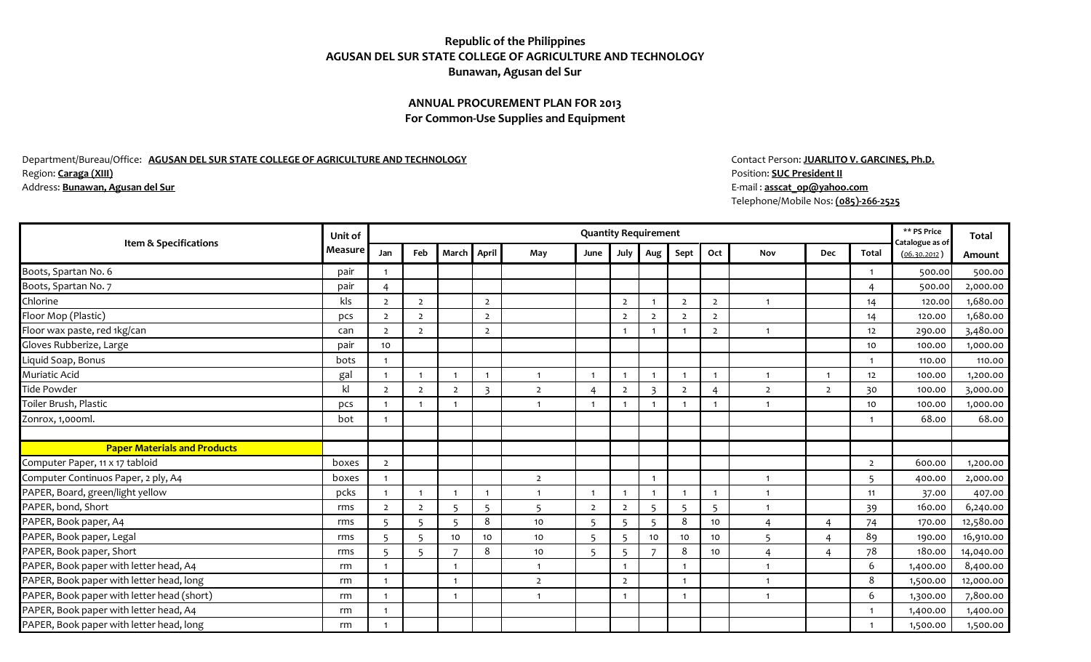# **ANNUAL PROCUREMENT PLAN FOR 2013 For Common-Use Supplies and Equipment**

Department/Bureau/Office: **AGUSAN DEL SUR STATE COLLEGE OF AGRICULTURE AND TECHNOLOGY** CONTACT PERSON: JUARLITO V. GARCINES, Ph.D.

|                                            | Unit of |                |                |                         |                         |                | <b>Quantity Requirement</b> |                |                |                         |                |                |                |                | ** PS Price                     | <b>Total</b> |
|--------------------------------------------|---------|----------------|----------------|-------------------------|-------------------------|----------------|-----------------------------|----------------|----------------|-------------------------|----------------|----------------|----------------|----------------|---------------------------------|--------------|
| Item & Specifications                      | Measure | Jan            | Feb            | March                   | April                   | May            | June                        | July           | Aug            | Sept                    | Oct            | Nov            | Dec            | <b>Total</b>   | Catalogue as of<br>(06.30.2012) | Amount       |
| Boots, Spartan No. 6                       | pair    |                |                |                         |                         |                |                             |                |                |                         |                |                |                | $\mathbf{1}$   | 500.00                          | 500.00       |
| Boots, Spartan No. 7                       | pair    | $\overline{4}$ |                |                         |                         |                |                             |                |                |                         |                |                |                | $\overline{4}$ | 500.00                          | 2,000.00     |
| Chlorine                                   | kls     | $\overline{2}$ | $\overline{2}$ |                         | $\overline{2}$          |                |                             | $\overline{2}$ | $\mathbf 1$    | $\overline{2}$          | $\overline{2}$ | $\mathbf{1}$   |                | 14             | 120.00                          | 1,680.00     |
| Floor Mop (Plastic)                        | pcs     | $\overline{2}$ | $\overline{2}$ |                         | $\overline{2}$          |                |                             | $\overline{2}$ | $\overline{2}$ | $\overline{2}$          | $\overline{2}$ |                |                | 14             | 120.00                          | 1,680.00     |
| Floor wax paste, red 1kg/can               | can     | $\overline{2}$ | $\overline{2}$ |                         | $\overline{2}$          |                |                             |                |                | $\overline{1}$          | $\overline{2}$ | $\mathbf{1}$   |                | 12             | 290.00                          | 3,480.00     |
| Gloves Rubberize, Large                    | pair    | 10             |                |                         |                         |                |                             |                |                |                         |                |                |                | 10             | 100.00                          | 1,000.00     |
| Liquid Soap, Bonus                         | bots    | $\mathbf{1}$   |                |                         |                         |                |                             |                |                |                         |                |                |                | $\mathbf{1}$   | 110.00                          | 110.00       |
| Muriatic Acid                              | gal     |                | $\mathbf{1}$   |                         | $\mathbf{1}$            | $\mathbf{1}$   | $\overline{1}$              |                | $\overline{1}$ | $\mathbf{1}$            |                | $\mathbf{1}$   | $\mathbf{1}$   | 12             | 100.00                          | 1,200.00     |
| <b>Tide Powder</b>                         | kl      | $\overline{2}$ | $\overline{2}$ | $\overline{2}$          | $\overline{3}$          | $\overline{2}$ | 4                           | $\overline{2}$ | $\mathbf{3}$   | $\overline{2}$          | $\overline{4}$ | $\overline{2}$ | $\overline{2}$ | 30             | 100.00                          | 3,000.00     |
| Toiler Brush, Plastic                      | pcs     | -1             | $\mathbf{1}$   |                         |                         | $\overline{1}$ | $\overline{1}$              |                |                | $\overline{\mathbf{1}}$ |                | $\mathbf{1}$   |                | 10             | 100.00                          | 1,000.00     |
| Zonrox, 1,000ml.                           | bot     | $\mathbf{1}$   |                |                         |                         |                |                             |                |                |                         |                |                |                | $\mathbf{1}$   | 68.00                           | 68.00        |
|                                            |         |                |                |                         |                         |                |                             |                |                |                         |                |                |                |                |                                 |              |
| <b>Paper Materials and Products</b>        |         |                |                |                         |                         |                |                             |                |                |                         |                |                |                |                |                                 |              |
| Computer Paper, 11 x 17 tabloid            | boxes   | $\overline{2}$ |                |                         |                         |                |                             |                |                |                         |                |                |                | $\overline{2}$ | 600.00                          | 1,200.00     |
| Computer Continuos Paper, 2 ply, A4        | boxes   |                |                |                         |                         | $\overline{2}$ |                             |                | $\mathbf{1}$   |                         |                | $\mathbf{1}$   |                | 5              | 400.00                          | 2,000.00     |
| PAPER, Board, green/light yellow           | pcks    |                | $\mathbf{1}$   |                         | $\overline{\mathbf{1}}$ | $\mathbf{1}$   | $\mathbf{1}$                |                | $\mathbf 1$    | $\overline{1}$          |                | $\mathbf{1}$   |                | 11             | 37.00                           | 407.00       |
| PAPER, bond, Short                         | rms     | $\overline{2}$ | $\overline{2}$ |                         | 5                       | 5              | $\overline{2}$              | $\overline{2}$ |                | 5                       | 5              | $\mathbf{1}$   |                | 39             | 160.00                          | 6,240.00     |
| PAPER, Book paper, A4                      | rms     | 5              | 5              |                         | 8                       | 10             | 5                           | 5              | 5              | 8                       | 10             | $\overline{4}$ | $\overline{4}$ | 74             | 170.00                          | 12,580.00    |
| PAPER, Book paper, Legal                   | rms     | 5              | 5              | 10                      | 10                      | 10             | 5                           | 5              | 10             | 10                      | 10             | 5              | 4              | 89             | 190.00                          | 16,910.00    |
| PAPER, Book paper, Short                   | rms     | 5              | $\overline{5}$ |                         | 8                       | 10             | 5                           | 5              | $\mathcal{I}$  | 8                       | 10             | $\overline{4}$ | 4              | 78             | 180.00                          | 14,040.00    |
| PAPER, Book paper with letter head, A4     | rm      | $\mathbf{1}$   |                | - 1                     |                         | $\overline{1}$ |                             |                |                | $\overline{1}$          |                | $\mathbf{1}$   |                | 6              | 1,400.00                        | 8,400.00     |
| PAPER, Book paper with letter head, long   | rm      | $\mathbf{1}$   |                | - 1                     |                         | $\overline{2}$ |                             | $\overline{2}$ |                | $\overline{1}$          |                | $\mathbf{1}$   |                | 8              | 1,500.00                        | 12,000.00    |
| PAPER, Book paper with letter head (short) | rm      | $\mathbf{1}$   |                | $\overline{\mathbf{1}}$ |                         | $\overline{1}$ |                             |                |                | $\mathbf{1}$            |                | $\mathbf{1}$   |                | 6              | 1,300.00                        | 7,800.00     |
| PAPER, Book paper with letter head, A4     | rm      |                |                |                         |                         |                |                             |                |                |                         |                |                |                | $\mathbf{1}$   | 1,400.00                        | 1,400.00     |
| PAPER, Book paper with letter head, long   | rm      | $\mathbf{1}$   |                |                         |                         |                |                             |                |                |                         |                |                |                | $\mathbf{1}$   | 1,500.00                        | 1,500.00     |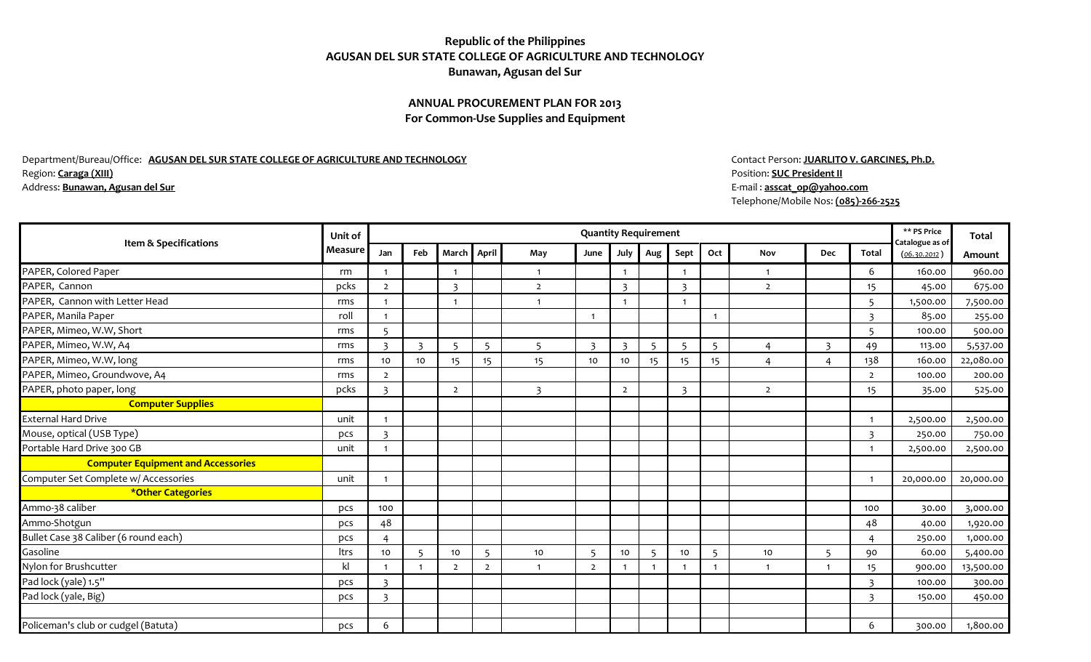# **ANNUAL PROCUREMENT PLAN FOR 2013 For Common-Use Supplies and Equipment**

# Department/Bureau/Office: **AGUSAN DEL SUR STATE COLLEGE OF AGRICULTURE AND TECHNOLOGY** CONTACT PERSON: JUARLITO V. GARCINES, Ph.D.

|                                           | Unit of        |                |                |                 |                |                | <b>Quantity Requirement</b> |                         |     |                         |                         |                |     |                         | ** PS Price                     | <b>Total</b> |
|-------------------------------------------|----------------|----------------|----------------|-----------------|----------------|----------------|-----------------------------|-------------------------|-----|-------------------------|-------------------------|----------------|-----|-------------------------|---------------------------------|--------------|
| Item & Specifications                     | <b>Measure</b> | Jan            | Feb            | March           | April          | May            | June                        | July                    | Aug | Sept                    | Oct                     | Nov            | Dec | <b>Total</b>            | Catalogue as of<br>(06.30.2012) | Amount       |
| PAPER, Colored Paper                      | rm             |                |                |                 |                |                |                             |                         |     |                         |                         | $\mathbf{1}$   |     | 6                       | 160.00                          | 960.00       |
| PAPER, Cannon                             | pcks           | $\overline{2}$ |                | $\overline{3}$  |                | $\overline{2}$ |                             | $\overline{3}$          |     | $\overline{\mathbf{3}}$ |                         | $\overline{2}$ |     | 15                      | 45.00                           | 675.00       |
| PAPER, Cannon with Letter Head            | rms            | $\mathbf{1}$   |                |                 |                | $\mathbf{1}$   |                             |                         |     | $\overline{1}$          |                         |                |     | 5                       | 1,500.00                        | 7,500.00     |
| PAPER, Manila Paper                       | roll           | $\mathbf{1}$   |                |                 |                |                | $\overline{\mathbf{1}}$     |                         |     |                         | $\overline{\mathbf{1}}$ |                |     | 3                       | 85.00                           | 255.00       |
| PAPER, Mimeo, W.W, Short                  | rms            | 5              |                |                 |                |                |                             |                         |     |                         |                         |                |     | 5                       | 100.00                          | 500.00       |
| PAPER, Mimeo, W.W, A4                     | rms            | $\overline{3}$ | $\overline{3}$ | 5               | 5              | 5              | 3                           | $\overline{\mathbf{3}}$ | 5   | 5                       | 5                       | $\overline{4}$ | 3   | 49                      | 113.00                          | 5,537.00     |
| PAPER, Mimeo, W.W, long                   | rms            | 10             | 10             | 15 <sub>1</sub> | 15             | 15             | 10                          | 10                      | 15  | 15                      | 15                      | $\overline{4}$ | 4   | 138                     | 160.00                          | 22,080.00    |
| PAPER, Mimeo, Groundwove, A4              | rms            | $\overline{2}$ |                |                 |                |                |                             |                         |     |                         |                         |                |     | $\overline{2}$          | 100.00                          | 200.00       |
| PAPER, photo paper, long                  | pcks           | $\overline{3}$ |                | $\overline{2}$  |                | $\overline{3}$ |                             | $\overline{2}$          |     | $\overline{3}$          |                         | $\overline{2}$ |     | 15                      | 35.00                           | 525.00       |
| <b>Computer Supplies</b>                  |                |                |                |                 |                |                |                             |                         |     |                         |                         |                |     |                         |                                 |              |
| <b>External Hard Drive</b>                | unit           | $\overline{1}$ |                |                 |                |                |                             |                         |     |                         |                         |                |     | $\mathbf{1}$            | 2,500.00                        | 2,500.00     |
| Mouse, optical (USB Type)                 | pcs            | $\mathbf{R}$   |                |                 |                |                |                             |                         |     |                         |                         |                |     | $\overline{\mathbf{3}}$ | 250.00                          | 750.00       |
| Portable Hard Drive 300 GB                | unit           |                |                |                 |                |                |                             |                         |     |                         |                         |                |     | $\mathbf{1}$            | 2,500.00                        | 2,500.00     |
| <b>Computer Equipment and Accessories</b> |                |                |                |                 |                |                |                             |                         |     |                         |                         |                |     |                         |                                 |              |
| Computer Set Complete w/ Accessories      | unit           |                |                |                 |                |                |                             |                         |     |                         |                         |                |     | $\overline{\mathbf{1}}$ | 20,000.00                       | 20,000.00    |
| *Other Categories                         |                |                |                |                 |                |                |                             |                         |     |                         |                         |                |     |                         |                                 |              |
| Ammo-38 caliber                           | pcs            | 100            |                |                 |                |                |                             |                         |     |                         |                         |                |     | 100                     | 30.00                           | 3,000.00     |
| Ammo-Shotgun                              | pcs            | 48             |                |                 |                |                |                             |                         |     |                         |                         |                |     | 48                      | 40.00                           | 1,920.00     |
| Bullet Case 38 Caliber (6 round each)     | pcs            |                |                |                 |                |                |                             |                         |     |                         |                         |                |     | $\overline{4}$          | 250.00                          | 1,000.00     |
| Gasoline                                  | Itrs           | 10             | 5              | 10              | 5              | 10             | $\overline{5}$              | 10                      | 5   | 10                      | 5                       | 10             | 5   | 90                      | 60.00                           | 5,400.00     |
| Nylon for Brushcutter                     | kl             |                | $\mathbf{1}$   | $\overline{2}$  | $\overline{2}$ | $\overline{1}$ | $\overline{2}$              |                         |     |                         |                         | $\mathbf{1}$   | -1  | 15                      | 900.00                          | 13,500.00    |
| Pad lock (yale) 1.5"                      | pcs            | $\overline{3}$ |                |                 |                |                |                             |                         |     |                         |                         |                |     | 3                       | 100.00                          | 300.00       |
| Pad lock (yale, Big)                      | pcs            | $\overline{3}$ |                |                 |                |                |                             |                         |     |                         |                         |                |     | $\overline{3}$          | 150.00                          | 450.00       |
|                                           |                |                |                |                 |                |                |                             |                         |     |                         |                         |                |     |                         |                                 |              |
| Policeman's club or cudgel (Batuta)       | pcs            | 6              |                |                 |                |                |                             |                         |     |                         |                         |                |     | 6                       | 300.00                          | 1,800.00     |